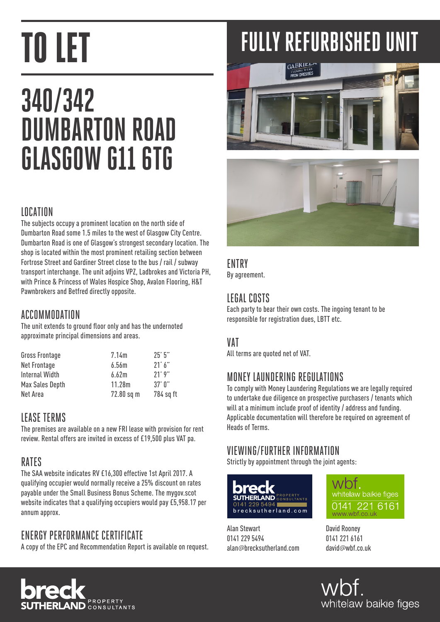## **340/342 DUMBARTON ROAD GLASGOW G11 6TG**

### LOCATION

The subjects occupy a prominent location on the north side of Dumbarton Road some 1.5 miles to the west of Glasgow City Centre. Dumbarton Road is one of Glasgow's strongest secondary location. The shop is located within the most prominent retailing section between Fortrose Street and Gardiner Street close to the bus / rail / subway transport interchange. The unit adjoins VPZ, Ladbrokes and Victoria PH, with Prince & Princess of Wales Hospice Shop, Avalon Flooring, H&T Pawnbrokers and Betfred directly opposite.

### ACCOMMODATION

The unit extends to ground floor only and has the undernoted approximate principal dimensions and areas.

| <b>Gross Frontage</b> | 7.14m      | 25'5''    |
|-----------------------|------------|-----------|
| Net Frontage          | 6.56m      | 21'6''    |
| Internal Width        | 6.62m      | 21'9''    |
| Max Sales Depth       | 11.28m     | $37'$ N"  |
| Net Area              | 72.80 sq m | 784 sq ft |

### LEASE TERMS

The premises are available on a new FRI lease with provision for rent review. Rental offers are invited in excess of £19,500 plus VAT pa.

### RATES

The SAA website indicates RV £16,300 effective 1st April 2017. A qualifying occupier would normally receive a 25% discount on rates payable under the Small Business Bonus Scheme. The mygov.scot website indicates that a qualifying occupiers would pay £5,958.17 per annum approx.

### ENERGY PERFORMANCE CERTIFICATE

A copy of the EPC and Recommendation Report is available on request.

# **FULLY REFURBISHED UNIT**





### **FNTRY**

By agreement.

### LEGAL COSTS

Each party to bear their own costs. The ingoing tenant to be responsible for registration dues, LBTT etc.

### VAT

All terms are quoted net of VAT.

### MONEY LAUNDERING REGULATIONS

To comply with Money Laundering Regulations we are legally required to undertake due diligence on prospective purchasers / tenants which will at a minimum include proof of identity / address and funding. Applicable documentation will therefore be required on agreement of Heads of Terms.

### VIEWING/FURTHER INFORMATION

Strictly by appointment through the joint agents:



Alan Stewart 0141 229 5494 alan*@*brecksutherland.com



David Rooney 0141 221 6161 david*@*wbf.co.uk

wbf. whitelaw baikie figes